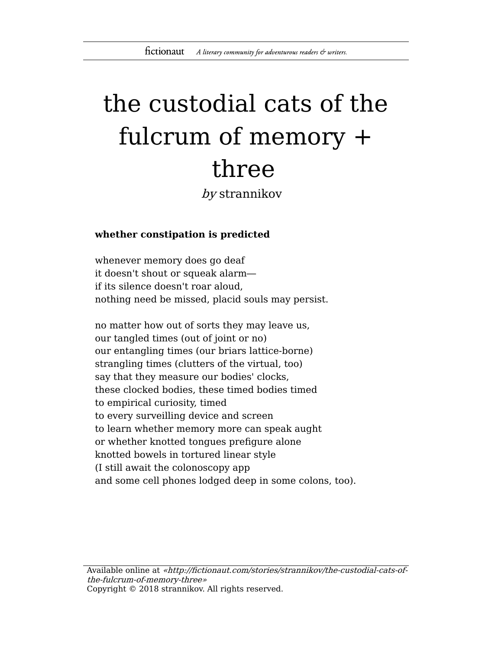# the custodial cats of the fulcrum of memory + three

by strannikov

## **whether constipation is predicted**

whenever memory does go deaf it doesn't shout or squeak alarm― if its silence doesn't roar aloud, nothing need be missed, placid souls may persist.

no matter how out of sorts they may leave us, our tangled times (out of joint or no) our entangling times (our briars lattice-borne) strangling times (clutters of the virtual, too) say that they measure our bodies' clocks, these clocked bodies, these timed bodies timed to empirical curiosity, timed to every surveilling device and screen to learn whether memory more can speak aught or whether knotted tongues prefigure alone knotted bowels in tortured linear style (I still await the colonoscopy app and some cell phones lodged deep in some colons, too).

Available online at «http://fictionaut.com/stories/strannikov/the-custodial-cats-ofthe-fulcrum-of-memory-three» Copyright © 2018 strannikov. All rights reserved.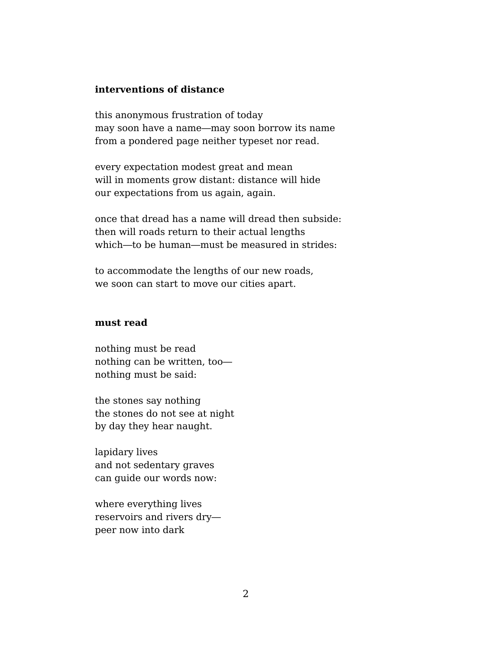#### **interventions of distance**

this anonymous frustration of today may soon have a name―may soon borrow its name from a pondered page neither typeset nor read.

every expectation modest great and mean will in moments grow distant: distance will hide our expectations from us again, again.

once that dread has a name will dread then subside: then will roads return to their actual lengths which―to be human―must be measured in strides:

to accommodate the lengths of our new roads, we soon can start to move our cities apart.

# **must read**

nothing must be read nothing can be written, too― nothing must be said:

the stones say nothing the stones do not see at night by day they hear naught.

lapidary lives and not sedentary graves can guide our words now:

where everything lives reservoirs and rivers dry― peer now into dark